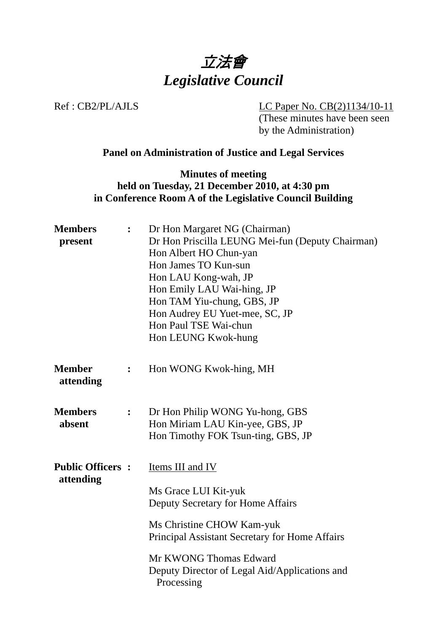

Ref : CB2/PL/AJLS LC Paper No. CB(2)1134/10-11 (These minutes have been seen by the Administration)

#### **Panel on Administration of Justice and Legal Services**

**Minutes of meeting held on Tuesday, 21 December 2010, at 4:30 pm in Conference Room A of the Legislative Council Building** 

| <b>Members</b><br>present            | $\ddot{\cdot}$ | Dr Hon Margaret NG (Chairman)<br>Dr Hon Priscilla LEUNG Mei-fun (Deputy Chairman)<br>Hon Albert HO Chun-yan<br>Hon James TO Kun-sun<br>Hon LAU Kong-wah, JP<br>Hon Emily LAU Wai-hing, JP<br>Hon TAM Yiu-chung, GBS, JP<br>Hon Audrey EU Yuet-mee, SC, JP<br>Hon Paul TSE Wai-chun<br>Hon LEUNG Kwok-hung |
|--------------------------------------|----------------|-----------------------------------------------------------------------------------------------------------------------------------------------------------------------------------------------------------------------------------------------------------------------------------------------------------|
| <b>Member</b><br>attending           | $\ddot{\cdot}$ | Hon WONG Kwok-hing, MH                                                                                                                                                                                                                                                                                    |
| <b>Members</b><br>absent             | $\ddot{\cdot}$ | Dr Hon Philip WONG Yu-hong, GBS<br>Hon Miriam LAU Kin-yee, GBS, JP<br>Hon Timothy FOK Tsun-ting, GBS, JP                                                                                                                                                                                                  |
| <b>Public Officers:</b><br>attending |                | Items III and IV<br>Ms Grace LUI Kit-yuk<br>Deputy Secretary for Home Affairs<br>Ms Christine CHOW Kam-yuk<br>Principal Assistant Secretary for Home Affairs<br>Mr KWONG Thomas Edward<br>Deputy Director of Legal Aid/Applications and<br>Processing                                                     |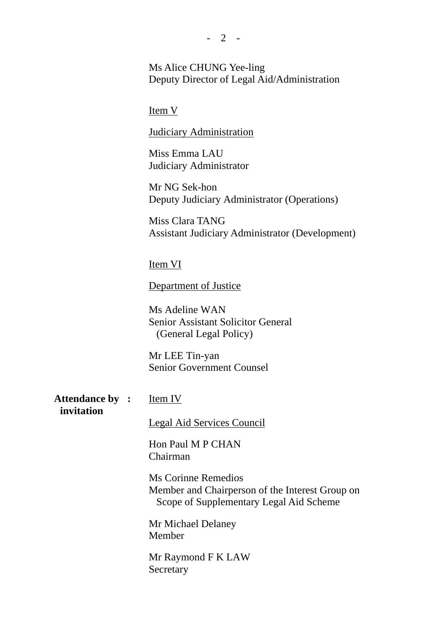Ms Alice CHUNG Yee-ling Deputy Director of Legal Aid/Administration

Item V

Judiciary Administration

Miss Emma LAU Judiciary Administrator

Mr NG Sek-hon Deputy Judiciary Administrator (Operations)

Miss Clara TANG Assistant Judiciary Administrator (Development)

Item VI

Department of Justice

Ms Adeline WAN Senior Assistant Solicitor General (General Legal Policy)

Mr LEE Tin-yan Senior Government Counsel

**Attendance by invitation** 

**:** Item IV

Legal Aid Services Council

Hon Paul M P CHAN Chairman

Ms Corinne Remedios Member and Chairperson of the Interest Group on Scope of Supplementary Legal Aid Scheme

Mr Michael Delaney Member

Mr Raymond F K LAW Secretary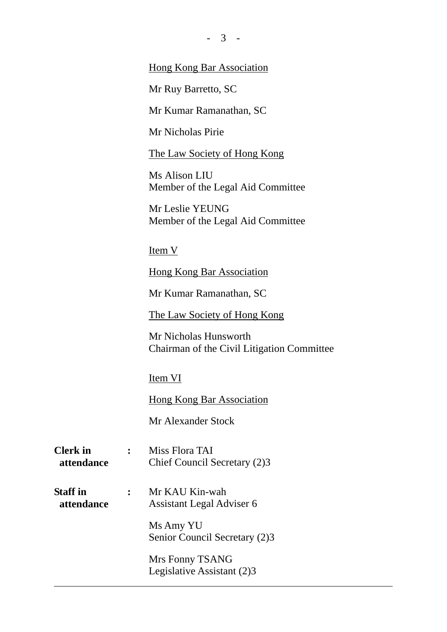| $-3-$                                                |
|------------------------------------------------------|
| <b>Hong Kong Bar Association</b>                     |
| Mr Ruy Barretto, SC                                  |
| Mr Kumar Ramanathan, SC                              |
| Mr Nicholas Pirie                                    |
| The Law Society of Hong Kong                         |
| Ms Alison LIU<br>Member of the Legal Aid Committee   |
| Mr Leslie YEUNG<br>Member of the Legal Aid Committee |
| Item V                                               |

**Hong Kong Bar Association** 

Mr Kumar Ramanathan, SC

The Law Society of Hong Kong

Mr Nicholas Hunsworth Chairman of the Civil Litigation Committee

Item VI

**Hong Kong Bar Association** 

Mr Alexander Stock

| <b>Clerk</b> in | Miss Flora TAI               |
|-----------------|------------------------------|
| attendance      | Chief Council Secretary (2)3 |

**Staff in attendance :** Mr KAU Kin-wah Assistant Legal Adviser 6

> Ms Amy YU Senior Council Secretary (2)3

Mrs Fonny TSANG Legislative Assistant (2)3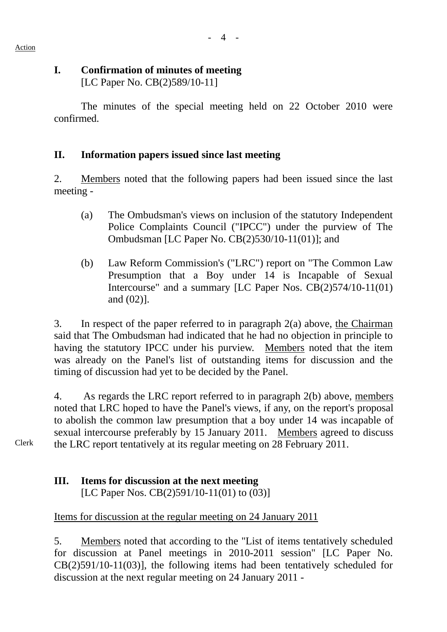## **I. Confirmation of minutes of meeting**

[LC Paper No. CB(2)589/10-11]

The minutes of the special meeting held on 22 October 2010 were confirmed.

## **II. Information papers issued since last meeting**

2. Members noted that the following papers had been issued since the last meeting -

- (a) The Ombudsman's views on inclusion of the statutory Independent Police Complaints Council ("IPCC") under the purview of The Ombudsman [LC Paper No. CB(2)530/10-11(01)]; and
- (b) Law Reform Commission's ("LRC") report on "The Common Law Presumption that a Boy under 14 is Incapable of Sexual Intercourse" and a summary [LC Paper Nos. CB(2)574/10-11(01) and (02)].

3. In respect of the paper referred to in paragraph 2(a) above, the Chairman said that The Ombudsman had indicated that he had no objection in principle to having the statutory IPCC under his purview. Members noted that the item was already on the Panel's list of outstanding items for discussion and the timing of discussion had yet to be decided by the Panel.

4. As regards the LRC report referred to in paragraph 2(b) above, members noted that LRC hoped to have the Panel's views, if any, on the report's proposal to abolish the common law presumption that a boy under 14 was incapable of sexual intercourse preferably by 15 January 2011. Members agreed to discuss the LRC report tentatively at its regular meeting on 28 February 2011.

Clerk

## **III. Items for discussion at the next meeting**

[LC Paper Nos. CB(2)591/10-11(01) to (03)]

## Items for discussion at the regular meeting on 24 January 2011

5. Members noted that according to the "List of items tentatively scheduled for discussion at Panel meetings in 2010-2011 session" [LC Paper No. CB(2)591/10-11(03)], the following items had been tentatively scheduled for discussion at the next regular meeting on 24 January 2011 -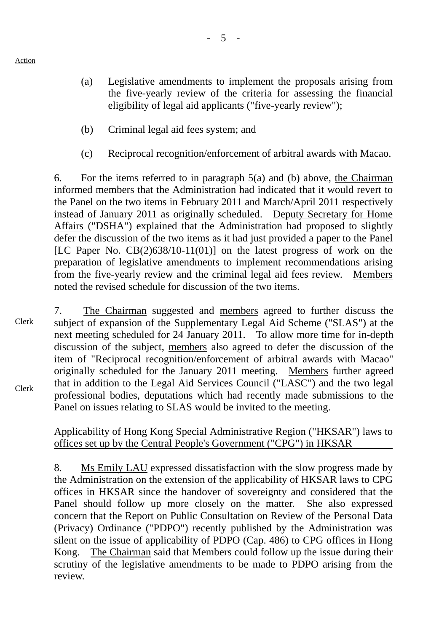- (a) Legislative amendments to implement the proposals arising from the five-yearly review of the criteria for assessing the financial eligibility of legal aid applicants ("five-yearly review");
- (b) Criminal legal aid fees system; and
- (c) Reciprocal recognition/enforcement of arbitral awards with Macao.

6. For the items referred to in paragraph 5(a) and (b) above, the Chairman informed members that the Administration had indicated that it would revert to the Panel on the two items in February 2011 and March/April 2011 respectively instead of January 2011 as originally scheduled. Deputy Secretary for Home Affairs ("DSHA") explained that the Administration had proposed to slightly defer the discussion of the two items as it had just provided a paper to the Panel [LC Paper No.  $CB(2)638/10-11(01)$ ] on the latest progress of work on the preparation of legislative amendments to implement recommendations arising from the five-yearly review and the criminal legal aid fees review. Members noted the revised schedule for discussion of the two items.

Clerk Clerk 7. The Chairman suggested and members agreed to further discuss the subject of expansion of the Supplementary Legal Aid Scheme ("SLAS") at the next meeting scheduled for 24 January 2011. To allow more time for in-depth discussion of the subject, members also agreed to defer the discussion of the item of "Reciprocal recognition/enforcement of arbitral awards with Macao" originally scheduled for the January 2011 meeting. Members further agreed that in addition to the Legal Aid Services Council ("LASC") and the two legal professional bodies, deputations which had recently made submissions to the Panel on issues relating to SLAS would be invited to the meeting.

#### Applicability of Hong Kong Special Administrative Region ("HKSAR") laws to offices set up by the Central People's Government ("CPG") in HKSAR

8. Ms Emily LAU expressed dissatisfaction with the slow progress made by the Administration on the extension of the applicability of HKSAR laws to CPG offices in HKSAR since the handover of sovereignty and considered that the Panel should follow up more closely on the matter. She also expressed concern that the Report on Public Consultation on Review of the Personal Data (Privacy) Ordinance ("PDPO") recently published by the Administration was silent on the issue of applicability of PDPO (Cap. 486) to CPG offices in Hong Kong. The Chairman said that Members could follow up the issue during their scrutiny of the legislative amendments to be made to PDPO arising from the review.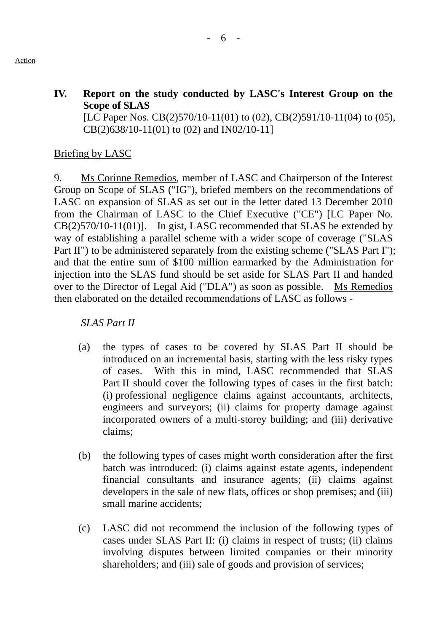#### **IV. Report on the study conducted by LASC's Interest Group on the Scope of SLAS**  [LC Paper Nos. CB(2)570/10-11(01) to (02), CB(2)591/10-11(04) to (05),

CB(2)638/10-11(01) to (02) and IN02/10-11]

#### Briefing by LASC

9. Ms Corinne Remedios, member of LASC and Chairperson of the Interest Group on Scope of SLAS ("IG"), briefed members on the recommendations of LASC on expansion of SLAS as set out in the letter dated 13 December 2010 from the Chairman of LASC to the Chief Executive ("CE") [LC Paper No. CB(2)570/10-11(01)]. In gist, LASC recommended that SLAS be extended by way of establishing a parallel scheme with a wider scope of coverage ("SLAS Part II") to be administered separately from the existing scheme ("SLAS Part I"); and that the entire sum of \$100 million earmarked by the Administration for injection into the SLAS fund should be set aside for SLAS Part II and handed over to the Director of Legal Aid ("DLA") as soon as possible. Ms Remedios then elaborated on the detailed recommendations of LASC as follows -

#### *SLAS Part II*

- (a) the types of cases to be covered by SLAS Part II should be introduced on an incremental basis, starting with the less risky types of cases. With this in mind, LASC recommended that SLAS Part II should cover the following types of cases in the first batch: (i) professional negligence claims against accountants, architects, engineers and surveyors; (ii) claims for property damage against incorporated owners of a multi-storey building; and (iii) derivative claims;
- (b) the following types of cases might worth consideration after the first batch was introduced: (i) claims against estate agents, independent financial consultants and insurance agents; (ii) claims against developers in the sale of new flats, offices or shop premises; and (iii) small marine accidents;
- (c) LASC did not recommend the inclusion of the following types of cases under SLAS Part II: (i) claims in respect of trusts; (ii) claims involving disputes between limited companies or their minority shareholders; and (iii) sale of goods and provision of services;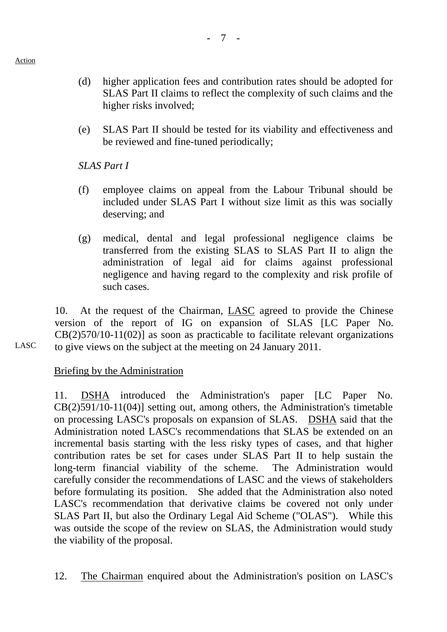(e) SLAS Part II should be tested for its viability and effectiveness and be reviewed and fine-tuned periodically;

*SLAS Part I* 

higher risks involved;

- (f) employee claims on appeal from the Labour Tribunal should be included under SLAS Part I without size limit as this was socially deserving; and
- (g) medical, dental and legal professional negligence claims be transferred from the existing SLAS to SLAS Part II to align the administration of legal aid for claims against professional negligence and having regard to the complexity and risk profile of such cases.

10. At the request of the Chairman, LASC agreed to provide the Chinese version of the report of IG on expansion of SLAS [LC Paper No. CB(2)570/10-11(02)] as soon as practicable to facilitate relevant organizations to give views on the subject at the meeting on 24 January 2011.

LASC

Action

# Briefing by the Administration

11. DSHA introduced the Administration's paper [LC Paper No. CB(2)591/10-11(04)] setting out, among others, the Administration's timetable on processing LASC's proposals on expansion of SLAS. DSHA said that the Administration noted LASC's recommendations that SLAS be extended on an incremental basis starting with the less risky types of cases, and that higher contribution rates be set for cases under SLAS Part II to help sustain the long-term financial viability of the scheme. The Administration would carefully consider the recommendations of LASC and the views of stakeholders before formulating its position. She added that the Administration also noted LASC's recommendation that derivative claims be covered not only under SLAS Part II, but also the Ordinary Legal Aid Scheme ("OLAS"). While this was outside the scope of the review on SLAS, the Administration would study the viability of the proposal.

12. The Chairman enquired about the Administration's position on LASC's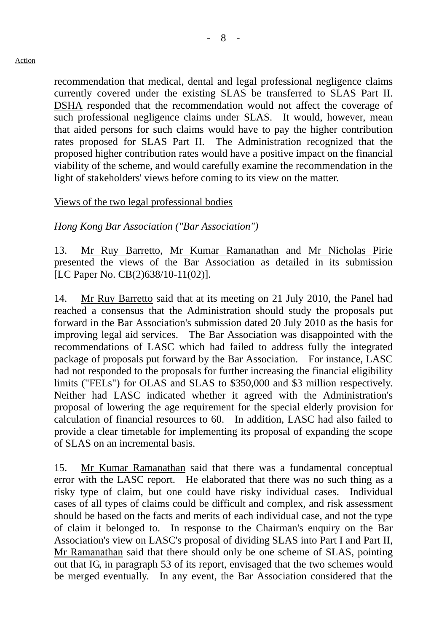- 8 -

recommendation that medical, dental and legal professional negligence claims currently covered under the existing SLAS be transferred to SLAS Part II. DSHA responded that the recommendation would not affect the coverage of such professional negligence claims under SLAS. It would, however, mean that aided persons for such claims would have to pay the higher contribution rates proposed for SLAS Part II. The Administration recognized that the proposed higher contribution rates would have a positive impact on the financial viability of the scheme, and would carefully examine the recommendation in the light of stakeholders' views before coming to its view on the matter.

#### Views of the two legal professional bodies

*Hong Kong Bar Association ("Bar Association")* 

13. Mr Ruy Barretto, Mr Kumar Ramanathan and Mr Nicholas Pirie presented the views of the Bar Association as detailed in its submission [LC Paper No. CB(2)638/10-11(02)].

14. Mr Ruy Barretto said that at its meeting on 21 July 2010, the Panel had reached a consensus that the Administration should study the proposals put forward in the Bar Association's submission dated 20 July 2010 as the basis for improving legal aid services. The Bar Association was disappointed with the recommendations of LASC which had failed to address fully the integrated package of proposals put forward by the Bar Association. For instance, LASC had not responded to the proposals for further increasing the financial eligibility limits ("FELs") for OLAS and SLAS to \$350,000 and \$3 million respectively. Neither had LASC indicated whether it agreed with the Administration's proposal of lowering the age requirement for the special elderly provision for calculation of financial resources to 60. In addition, LASC had also failed to provide a clear timetable for implementing its proposal of expanding the scope of SLAS on an incremental basis.

15. Mr Kumar Ramanathan said that there was a fundamental conceptual error with the LASC report. He elaborated that there was no such thing as a risky type of claim, but one could have risky individual cases. Individual cases of all types of claims could be difficult and complex, and risk assessment should be based on the facts and merits of each individual case, and not the type of claim it belonged to. In response to the Chairman's enquiry on the Bar Association's view on LASC's proposal of dividing SLAS into Part I and Part II, Mr Ramanathan said that there should only be one scheme of SLAS, pointing out that IG, in paragraph 53 of its report, envisaged that the two schemes would be merged eventually. In any event, the Bar Association considered that the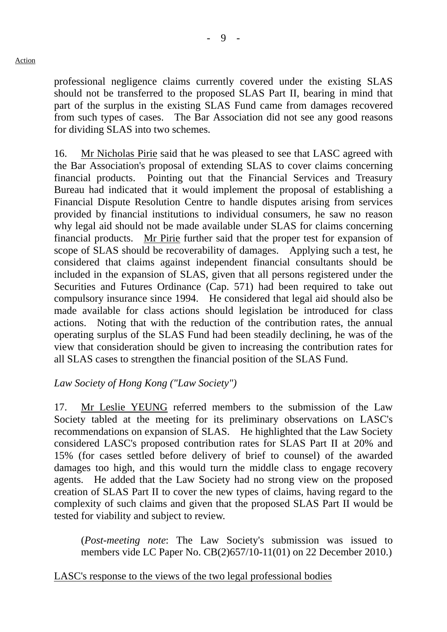professional negligence claims currently covered under the existing SLAS should not be transferred to the proposed SLAS Part II, bearing in mind that part of the surplus in the existing SLAS Fund came from damages recovered from such types of cases. The Bar Association did not see any good reasons for dividing SLAS into two schemes.

16. Mr Nicholas Pirie said that he was pleased to see that LASC agreed with the Bar Association's proposal of extending SLAS to cover claims concerning financial products. Pointing out that the Financial Services and Treasury Bureau had indicated that it would implement the proposal of establishing a Financial Dispute Resolution Centre to handle disputes arising from services provided by financial institutions to individual consumers, he saw no reason why legal aid should not be made available under SLAS for claims concerning financial products. Mr Pirie further said that the proper test for expansion of scope of SLAS should be recoverability of damages. Applying such a test, he considered that claims against independent financial consultants should be included in the expansion of SLAS, given that all persons registered under the Securities and Futures Ordinance (Cap. 571) had been required to take out compulsory insurance since 1994. He considered that legal aid should also be made available for class actions should legislation be introduced for class actions. Noting that with the reduction of the contribution rates, the annual operating surplus of the SLAS Fund had been steadily declining, he was of the view that consideration should be given to increasing the contribution rates for all SLAS cases to strengthen the financial position of the SLAS Fund.

## *Law Society of Hong Kong ("Law Society")*

17. Mr Leslie YEUNG referred members to the submission of the Law Society tabled at the meeting for its preliminary observations on LASC's recommendations on expansion of SLAS. He highlighted that the Law Society considered LASC's proposed contribution rates for SLAS Part II at 20% and 15% (for cases settled before delivery of brief to counsel) of the awarded damages too high, and this would turn the middle class to engage recovery agents. He added that the Law Society had no strong view on the proposed creation of SLAS Part II to cover the new types of claims, having regard to the complexity of such claims and given that the proposed SLAS Part II would be tested for viability and subject to review.

(*Post-meeting note*: The Law Society's submission was issued to members vide LC Paper No. CB(2)657/10-11(01) on 22 December 2010.)

## LASC's response to the views of the two legal professional bodies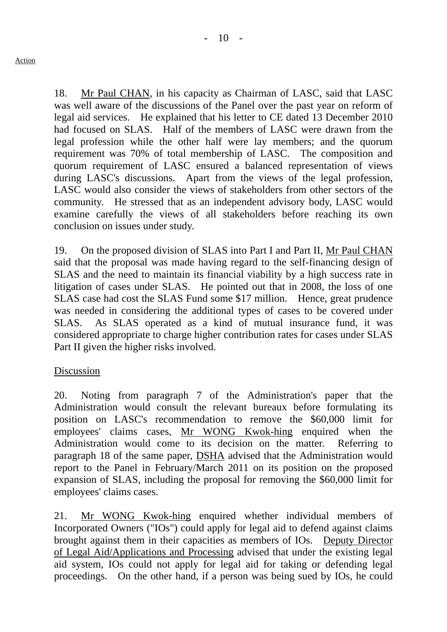18. Mr Paul CHAN, in his capacity as Chairman of LASC, said that LASC was well aware of the discussions of the Panel over the past year on reform of legal aid services. He explained that his letter to CE dated 13 December 2010 had focused on SLAS. Half of the members of LASC were drawn from the legal profession while the other half were lay members; and the quorum requirement was 70% of total membership of LASC. The composition and quorum requirement of LASC ensured a balanced representation of views during LASC's discussions. Apart from the views of the legal profession, LASC would also consider the views of stakeholders from other sectors of the community. He stressed that as an independent advisory body, LASC would examine carefully the views of all stakeholders before reaching its own

19. On the proposed division of SLAS into Part I and Part II, Mr Paul CHAN said that the proposal was made having regard to the self-financing design of SLAS and the need to maintain its financial viability by a high success rate in litigation of cases under SLAS. He pointed out that in 2008, the loss of one SLAS case had cost the SLAS Fund some \$17 million. Hence, great prudence was needed in considering the additional types of cases to be covered under SLAS. As SLAS operated as a kind of mutual insurance fund, it was considered appropriate to charge higher contribution rates for cases under SLAS Part II given the higher risks involved.

#### Discussion

conclusion on issues under study.

20. Noting from paragraph 7 of the Administration's paper that the Administration would consult the relevant bureaux before formulating its position on LASC's recommendation to remove the \$60,000 limit for employees' claims cases, Mr WONG Kwok-hing enquired when the Administration would come to its decision on the matter. Referring to paragraph 18 of the same paper, DSHA advised that the Administration would report to the Panel in February/March 2011 on its position on the proposed expansion of SLAS, including the proposal for removing the \$60,000 limit for employees' claims cases.

21. Mr WONG Kwok-hing enquired whether individual members of Incorporated Owners ("IOs") could apply for legal aid to defend against claims brought against them in their capacities as members of IOs. Deputy Director of Legal Aid/Applications and Processing advised that under the existing legal aid system, IOs could not apply for legal aid for taking or defending legal proceedings. On the other hand, if a person was being sued by IOs, he could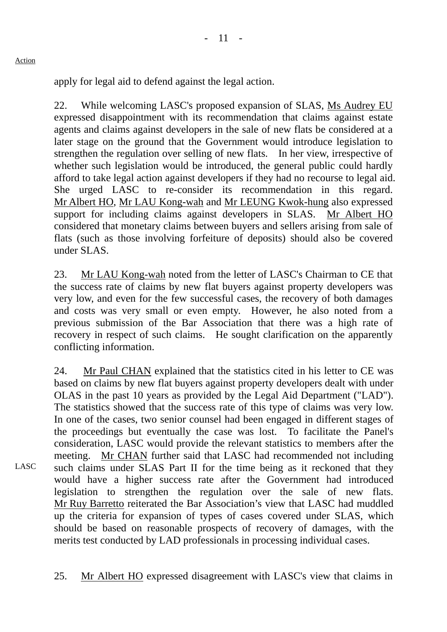apply for legal aid to defend against the legal action.

22. While welcoming LASC's proposed expansion of SLAS, Ms Audrey EU expressed disappointment with its recommendation that claims against estate agents and claims against developers in the sale of new flats be considered at a later stage on the ground that the Government would introduce legislation to strengthen the regulation over selling of new flats. In her view, irrespective of whether such legislation would be introduced, the general public could hardly afford to take legal action against developers if they had no recourse to legal aid. She urged LASC to re-consider its recommendation in this regard. Mr Albert HO, Mr LAU Kong-wah and Mr LEUNG Kwok-hung also expressed support for including claims against developers in SLAS. Mr Albert HO considered that monetary claims between buyers and sellers arising from sale of flats (such as those involving forfeiture of deposits) should also be covered under SLAS.

23. Mr LAU Kong-wah noted from the letter of LASC's Chairman to CE that the success rate of claims by new flat buyers against property developers was very low, and even for the few successful cases, the recovery of both damages and costs was very small or even empty. However, he also noted from a previous submission of the Bar Association that there was a high rate of recovery in respect of such claims. He sought clarification on the apparently conflicting information.

24. Mr Paul CHAN explained that the statistics cited in his letter to CE was based on claims by new flat buyers against property developers dealt with under OLAS in the past 10 years as provided by the Legal Aid Department ("LAD"). The statistics showed that the success rate of this type of claims was very low. In one of the cases, two senior counsel had been engaged in different stages of the proceedings but eventually the case was lost. To facilitate the Panel's consideration, LASC would provide the relevant statistics to members after the meeting. Mr CHAN further said that LASC had recommended not including such claims under SLAS Part II for the time being as it reckoned that they would have a higher success rate after the Government had introduced legislation to strengthen the regulation over the sale of new flats. Mr Ruy Barretto reiterated the Bar Association's view that LASC had muddled up the criteria for expansion of types of cases covered under SLAS, which should be based on reasonable prospects of recovery of damages, with the merits test conducted by LAD professionals in processing individual cases.

25. Mr Albert HO expressed disagreement with LASC's view that claims in

Action

LASC<sup>1</sup>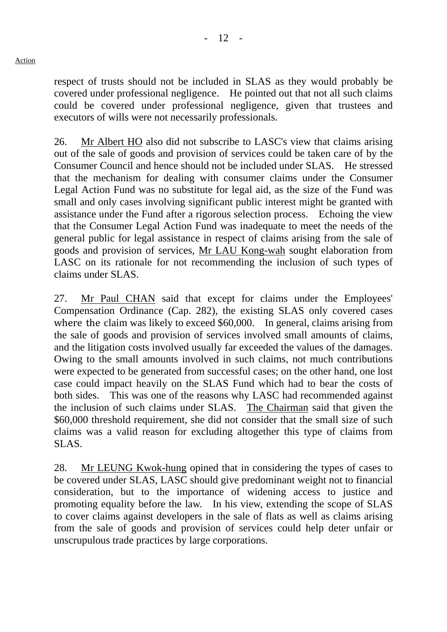respect of trusts should not be included in SLAS as they would probably be covered under professional negligence. He pointed out that not all such claims could be covered under professional negligence, given that trustees and executors of wills were not necessarily professionals.

26. Mr Albert HO also did not subscribe to LASC's view that claims arising out of the sale of goods and provision of services could be taken care of by the Consumer Council and hence should not be included under SLAS. He stressed that the mechanism for dealing with consumer claims under the Consumer Legal Action Fund was no substitute for legal aid, as the size of the Fund was small and only cases involving significant public interest might be granted with assistance under the Fund after a rigorous selection process. Echoing the view that the Consumer Legal Action Fund was inadequate to meet the needs of the general public for legal assistance in respect of claims arising from the sale of goods and provision of services, Mr LAU Kong-wah sought elaboration from LASC on its rationale for not recommending the inclusion of such types of claims under SLAS.

27. Mr Paul CHAN said that except for claims under the Employees' Compensation Ordinance (Cap. 282), the existing SLAS only covered cases where the claim was likely to exceed \$60,000. In general, claims arising from the sale of goods and provision of services involved small amounts of claims, and the litigation costs involved usually far exceeded the values of the damages. Owing to the small amounts involved in such claims, not much contributions were expected to be generated from successful cases; on the other hand, one lost case could impact heavily on the SLAS Fund which had to bear the costs of both sides. This was one of the reasons why LASC had recommended against the inclusion of such claims under SLAS. The Chairman said that given the \$60,000 threshold requirement, she did not consider that the small size of such claims was a valid reason for excluding altogether this type of claims from SLAS.

28. Mr LEUNG Kwok-hung opined that in considering the types of cases to be covered under SLAS, LASC should give predominant weight not to financial consideration, but to the importance of widening access to justice and promoting equality before the law. In his view, extending the scope of SLAS to cover claims against developers in the sale of flats as well as claims arising from the sale of goods and provision of services could help deter unfair or unscrupulous trade practices by large corporations.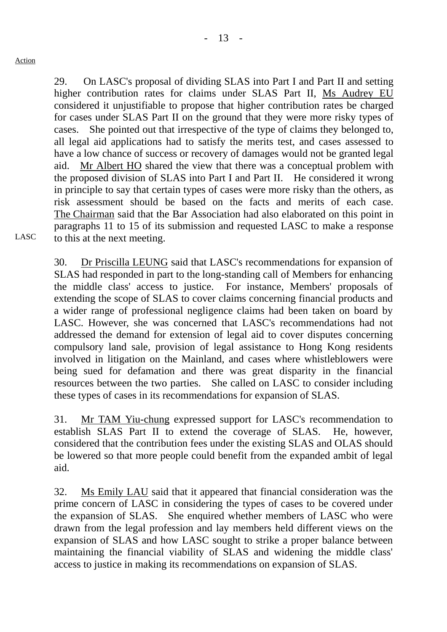LASC

29. On LASC's proposal of dividing SLAS into Part I and Part II and setting higher contribution rates for claims under SLAS Part II, Ms Audrey EU considered it unjustifiable to propose that higher contribution rates be charged for cases under SLAS Part II on the ground that they were more risky types of cases. She pointed out that irrespective of the type of claims they belonged to, all legal aid applications had to satisfy the merits test, and cases assessed to have a low chance of success or recovery of damages would not be granted legal aid. Mr Albert HO shared the view that there was a conceptual problem with the proposed division of SLAS into Part I and Part II. He considered it wrong in principle to say that certain types of cases were more risky than the others, as risk assessment should be based on the facts and merits of each case. The Chairman said that the Bar Association had also elaborated on this point in paragraphs 11 to 15 of its submission and requested LASC to make a response to this at the next meeting.

30. Dr Priscilla LEUNG said that LASC's recommendations for expansion of SLAS had responded in part to the long-standing call of Members for enhancing the middle class' access to justice. For instance, Members' proposals of extending the scope of SLAS to cover claims concerning financial products and a wider range of professional negligence claims had been taken on board by LASC. However, she was concerned that LASC's recommendations had not addressed the demand for extension of legal aid to cover disputes concerning compulsory land sale, provision of legal assistance to Hong Kong residents involved in litigation on the Mainland, and cases where whistleblowers were being sued for defamation and there was great disparity in the financial resources between the two parties. She called on LASC to consider including these types of cases in its recommendations for expansion of SLAS.

31. Mr TAM Yiu-chung expressed support for LASC's recommendation to establish SLAS Part II to extend the coverage of SLAS. He, however, considered that the contribution fees under the existing SLAS and OLAS should be lowered so that more people could benefit from the expanded ambit of legal aid.

32. Ms Emily LAU said that it appeared that financial consideration was the prime concern of LASC in considering the types of cases to be covered under the expansion of SLAS. She enquired whether members of LASC who were drawn from the legal profession and lay members held different views on the expansion of SLAS and how LASC sought to strike a proper balance between maintaining the financial viability of SLAS and widening the middle class' access to justice in making its recommendations on expansion of SLAS.

 $13 -$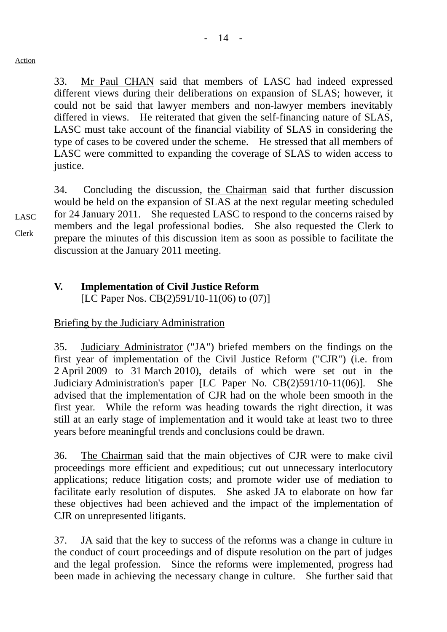33. Mr Paul CHAN said that members of LASC had indeed expressed different views during their deliberations on expansion of SLAS; however, it could not be said that lawyer members and non-lawyer members inevitably differed in views. He reiterated that given the self-financing nature of SLAS, LASC must take account of the financial viability of SLAS in considering the type of cases to be covered under the scheme. He stressed that all members of LASC were committed to expanding the coverage of SLAS to widen access to justice.

34. Concluding the discussion, the Chairman said that further discussion would be held on the expansion of SLAS at the next regular meeting scheduled for 24 January 2011. She requested LASC to respond to the concerns raised by members and the legal professional bodies. She also requested the Clerk to prepare the minutes of this discussion item as soon as possible to facilitate the discussion at the January 2011 meeting.

## **V. Implementation of Civil Justice Reform**

[LC Paper Nos. CB(2)591/10-11(06) to (07)]

#### Briefing by the Judiciary Administration

35. Judiciary Administrator ("JA") briefed members on the findings on the first year of implementation of the Civil Justice Reform ("CJR") (i.e. from 2 April 2009 to 31 March 2010), details of which were set out in the Judiciary Administration's paper [LC Paper No. CB(2)591/10-11(06)]. She advised that the implementation of CJR had on the whole been smooth in the first year. While the reform was heading towards the right direction, it was still at an early stage of implementation and it would take at least two to three years before meaningful trends and conclusions could be drawn.

36. The Chairman said that the main objectives of CJR were to make civil proceedings more efficient and expeditious; cut out unnecessary interlocutory applications; reduce litigation costs; and promote wider use of mediation to facilitate early resolution of disputes. She asked JA to elaborate on how far these objectives had been achieved and the impact of the implementation of CJR on unrepresented litigants.

37. JA said that the key to success of the reforms was a change in culture in the conduct of court proceedings and of dispute resolution on the part of judges and the legal profession. Since the reforms were implemented, progress had been made in achieving the necessary change in culture. She further said that

LASC Clerk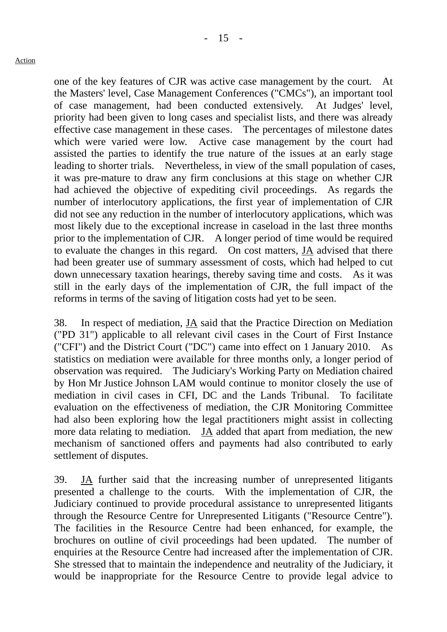one of the key features of CJR was active case management by the court. At the Masters' level, Case Management Conferences ("CMCs"), an important tool of case management, had been conducted extensively. At Judges' level, priority had been given to long cases and specialist lists, and there was already effective case management in these cases. The percentages of milestone dates which were varied were low. Active case management by the court had assisted the parties to identify the true nature of the issues at an early stage leading to shorter trials. Nevertheless, in view of the small population of cases, it was pre-mature to draw any firm conclusions at this stage on whether CJR had achieved the objective of expediting civil proceedings. As regards the number of interlocutory applications, the first year of implementation of CJR did not see any reduction in the number of interlocutory applications, which was most likely due to the exceptional increase in caseload in the last three months prior to the implementation of CJR. A longer period of time would be required to evaluate the changes in this regard. On cost matters, JA advised that there had been greater use of summary assessment of costs, which had helped to cut down unnecessary taxation hearings, thereby saving time and costs. As it was still in the early days of the implementation of CJR, the full impact of the reforms in terms of the saving of litigation costs had yet to be seen.

38. In respect of mediation, JA said that the Practice Direction on Mediation ("PD 31") applicable to all relevant civil cases in the Court of First Instance ("CFI") and the District Court ("DC") came into effect on 1 January 2010. As statistics on mediation were available for three months only, a longer period of observation was required. The Judiciary's Working Party on Mediation chaired by Hon Mr Justice Johnson LAM would continue to monitor closely the use of mediation in civil cases in CFI, DC and the Lands Tribunal. To facilitate evaluation on the effectiveness of mediation, the CJR Monitoring Committee had also been exploring how the legal practitioners might assist in collecting more data relating to mediation. JA added that apart from mediation, the new mechanism of sanctioned offers and payments had also contributed to early settlement of disputes.

39. JA further said that the increasing number of unrepresented litigants presented a challenge to the courts. With the implementation of CJR, the Judiciary continued to provide procedural assistance to unrepresented litigants through the Resource Centre for Unrepresented Litigants ("Resource Centre"). The facilities in the Resource Centre had been enhanced, for example, the brochures on outline of civil proceedings had been updated. The number of enquiries at the Resource Centre had increased after the implementation of CJR. She stressed that to maintain the independence and neutrality of the Judiciary, it would be inappropriate for the Resource Centre to provide legal advice to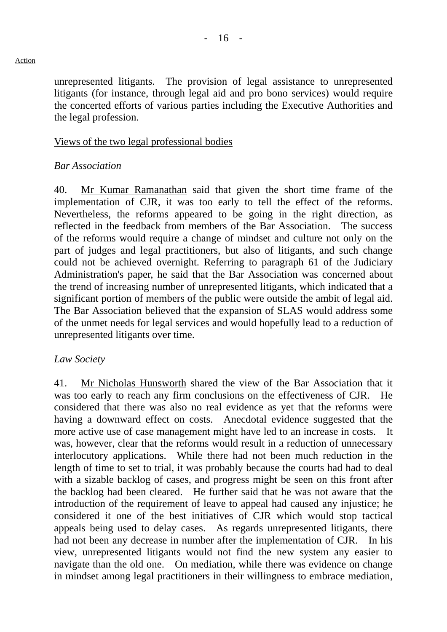unrepresented litigants. The provision of legal assistance to unrepresented litigants (for instance, through legal aid and pro bono services) would require the concerted efforts of various parties including the Executive Authorities and the legal profession.

## Views of the two legal professional bodies

## *Bar Association*

40. Mr Kumar Ramanathan said that given the short time frame of the implementation of CJR, it was too early to tell the effect of the reforms. Nevertheless, the reforms appeared to be going in the right direction, as reflected in the feedback from members of the Bar Association. The success of the reforms would require a change of mindset and culture not only on the part of judges and legal practitioners, but also of litigants, and such change could not be achieved overnight. Referring to paragraph 61 of the Judiciary Administration's paper, he said that the Bar Association was concerned about the trend of increasing number of unrepresented litigants, which indicated that a significant portion of members of the public were outside the ambit of legal aid. The Bar Association believed that the expansion of SLAS would address some of the unmet needs for legal services and would hopefully lead to a reduction of unrepresented litigants over time.

#### *Law Society*

41. Mr Nicholas Hunsworth shared the view of the Bar Association that it was too early to reach any firm conclusions on the effectiveness of CJR. He considered that there was also no real evidence as yet that the reforms were having a downward effect on costs. Anecdotal evidence suggested that the more active use of case management might have led to an increase in costs. was, however, clear that the reforms would result in a reduction of unnecessary interlocutory applications. While there had not been much reduction in the length of time to set to trial, it was probably because the courts had had to deal with a sizable backlog of cases, and progress might be seen on this front after the backlog had been cleared. He further said that he was not aware that the introduction of the requirement of leave to appeal had caused any injustice; he considered it one of the best initiatives of CJR which would stop tactical appeals being used to delay cases. As regards unrepresented litigants, there had not been any decrease in number after the implementation of CJR. In his view, unrepresented litigants would not find the new system any easier to navigate than the old one. On mediation, while there was evidence on change in mindset among legal practitioners in their willingness to embrace mediation,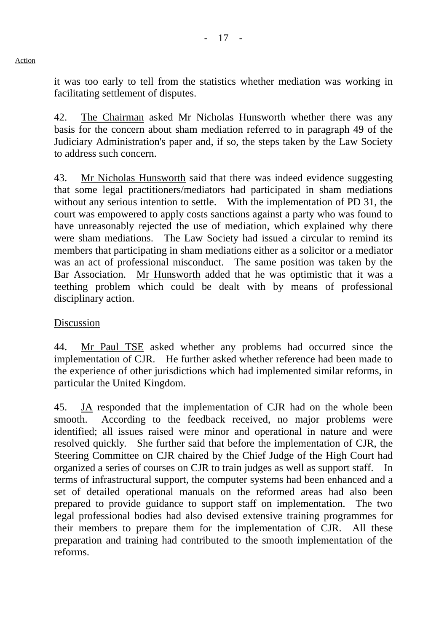it was too early to tell from the statistics whether mediation was working in facilitating settlement of disputes.

42. The Chairman asked Mr Nicholas Hunsworth whether there was any basis for the concern about sham mediation referred to in paragraph 49 of the Judiciary Administration's paper and, if so, the steps taken by the Law Society to address such concern.

43. Mr Nicholas Hunsworth said that there was indeed evidence suggesting that some legal practitioners/mediators had participated in sham mediations without any serious intention to settle. With the implementation of PD 31, the court was empowered to apply costs sanctions against a party who was found to have unreasonably rejected the use of mediation, which explained why there were sham mediations. The Law Society had issued a circular to remind its members that participating in sham mediations either as a solicitor or a mediator was an act of professional misconduct. The same position was taken by the Bar Association. Mr Hunsworth added that he was optimistic that it was a teething problem which could be dealt with by means of professional disciplinary action.

#### Discussion

44. Mr Paul TSE asked whether any problems had occurred since the implementation of CJR. He further asked whether reference had been made to the experience of other jurisdictions which had implemented similar reforms, in particular the United Kingdom.

45. JA responded that the implementation of CJR had on the whole been smooth. According to the feedback received, no major problems were identified; all issues raised were minor and operational in nature and were resolved quickly. She further said that before the implementation of CJR, the Steering Committee on CJR chaired by the Chief Judge of the High Court had organized a series of courses on CJR to train judges as well as support staff. In terms of infrastructural support, the computer systems had been enhanced and a set of detailed operational manuals on the reformed areas had also been prepared to provide guidance to support staff on implementation. The two legal professional bodies had also devised extensive training programmes for their members to prepare them for the implementation of CJR. All these preparation and training had contributed to the smooth implementation of the reforms.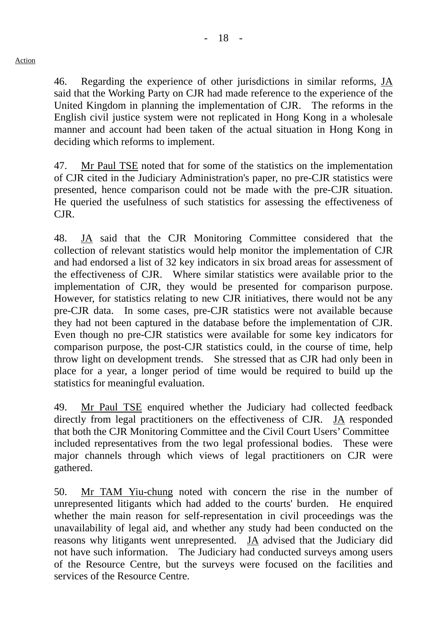46. Regarding the experience of other jurisdictions in similar reforms, JA said that the Working Party on CJR had made reference to the experience of the United Kingdom in planning the implementation of CJR. The reforms in the English civil justice system were not replicated in Hong Kong in a wholesale manner and account had been taken of the actual situation in Hong Kong in deciding which reforms to implement.

47. Mr Paul TSE noted that for some of the statistics on the implementation of CJR cited in the Judiciary Administration's paper, no pre-CJR statistics were presented, hence comparison could not be made with the pre-CJR situation. He queried the usefulness of such statistics for assessing the effectiveness of CJR.

48. JA said that the CJR Monitoring Committee considered that the collection of relevant statistics would help monitor the implementation of CJR and had endorsed a list of 32 key indicators in six broad areas for assessment of the effectiveness of CJR. Where similar statistics were available prior to the implementation of CJR, they would be presented for comparison purpose. However, for statistics relating to new CJR initiatives, there would not be any pre-CJR data. In some cases, pre-CJR statistics were not available because they had not been captured in the database before the implementation of CJR. Even though no pre-CJR statistics were available for some key indicators for comparison purpose, the post-CJR statistics could, in the course of time, help throw light on development trends. She stressed that as CJR had only been in place for a year, a longer period of time would be required to build up the statistics for meaningful evaluation.

49. Mr Paul TSE enquired whether the Judiciary had collected feedback directly from legal practitioners on the effectiveness of CJR. JA responded that both the CJR Monitoring Committee and the Civil Court Users' Committee included representatives from the two legal professional bodies. These were major channels through which views of legal practitioners on CJR were gathered.

50. Mr TAM Yiu-chung noted with concern the rise in the number of unrepresented litigants which had added to the courts' burden. He enquired whether the main reason for self-representation in civil proceedings was the unavailability of legal aid, and whether any study had been conducted on the reasons why litigants went unrepresented. JA advised that the Judiciary did not have such information. The Judiciary had conducted surveys among users of the Resource Centre, but the surveys were focused on the facilities and services of the Resource Centre.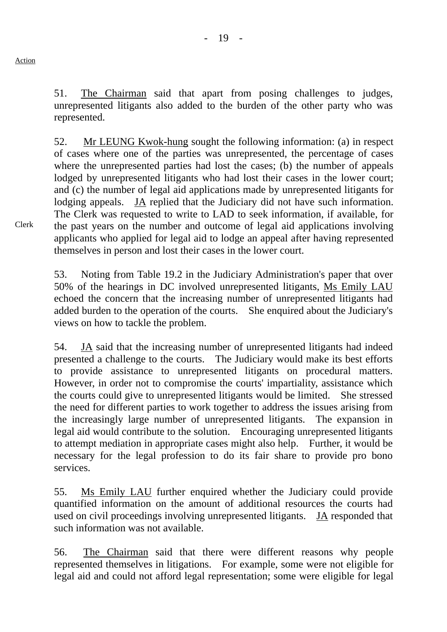51. The Chairman said that apart from posing challenges to judges, unrepresented litigants also added to the burden of the other party who was represented.

52. Mr LEUNG Kwok-hung sought the following information: (a) in respect of cases where one of the parties was unrepresented, the percentage of cases where the unrepresented parties had lost the cases; (b) the number of appeals lodged by unrepresented litigants who had lost their cases in the lower court; and (c) the number of legal aid applications made by unrepresented litigants for lodging appeals. JA replied that the Judiciary did not have such information. The Clerk was requested to write to LAD to seek information, if available, for the past years on the number and outcome of legal aid applications involving applicants who applied for legal aid to lodge an appeal after having represented themselves in person and lost their cases in the lower court.

53. Noting from Table 19.2 in the Judiciary Administration's paper that over 50% of the hearings in DC involved unrepresented litigants, Ms Emily LAU echoed the concern that the increasing number of unrepresented litigants had added burden to the operation of the courts. She enquired about the Judiciary's views on how to tackle the problem.

54. JA said that the increasing number of unrepresented litigants had indeed presented a challenge to the courts. The Judiciary would make its best efforts to provide assistance to unrepresented litigants on procedural matters. However, in order not to compromise the courts' impartiality, assistance which the courts could give to unrepresented litigants would be limited. She stressed the need for different parties to work together to address the issues arising from the increasingly large number of unrepresented litigants. The expansion in legal aid would contribute to the solution. Encouraging unrepresented litigants to attempt mediation in appropriate cases might also help. Further, it would be necessary for the legal profession to do its fair share to provide pro bono services.

55. Ms Emily LAU further enquired whether the Judiciary could provide quantified information on the amount of additional resources the courts had used on civil proceedings involving unrepresented litigants. JA responded that such information was not available.

56. The Chairman said that there were different reasons why people represented themselves in litigations. For example, some were not eligible for legal aid and could not afford legal representation; some were eligible for legal

Clerk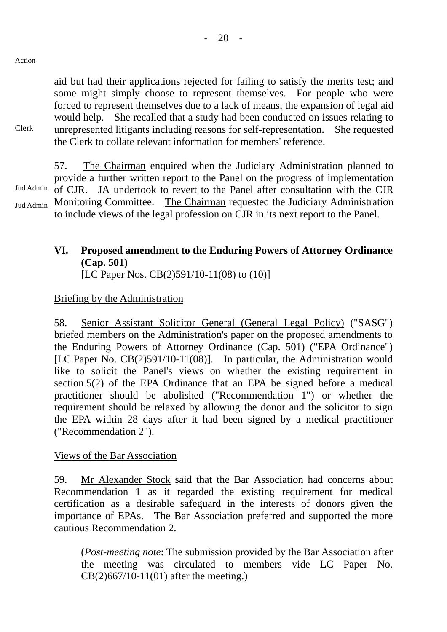$-20 -$ 

aid but had their applications rejected for failing to satisfy the merits test; and some might simply choose to represent themselves. For people who were forced to represent themselves due to a lack of means, the expansion of legal aid would help. She recalled that a study had been conducted on issues relating to unrepresented litigants including reasons for self-representation. She requested the Clerk to collate relevant information for members' reference.

Clerk

Jud Admin Jud Admin 57. The Chairman enquired when the Judiciary Administration planned to provide a further written report to the Panel on the progress of implementation of CJR. JA undertook to revert to the Panel after consultation with the CJR Monitoring Committee. The Chairman requested the Judiciary Administration to include views of the legal profession on CJR in its next report to the Panel.

# **VI. Proposed amendment to the Enduring Powers of Attorney Ordinance (Cap. 501)**

[LC Paper Nos. CB(2)591/10-11(08) to (10)]

## Briefing by the Administration

58. Senior Assistant Solicitor General (General Legal Policy) ("SASG") briefed members on the Administration's paper on the proposed amendments to the Enduring Powers of Attorney Ordinance (Cap. 501) ("EPA Ordinance") [LC Paper No. CB(2)591/10-11(08)]. In particular, the Administration would like to solicit the Panel's views on whether the existing requirement in section 5(2) of the EPA Ordinance that an EPA be signed before a medical practitioner should be abolished ("Recommendation 1") or whether the requirement should be relaxed by allowing the donor and the solicitor to sign the EPA within 28 days after it had been signed by a medical practitioner ("Recommendation 2").

#### Views of the Bar Association

59. Mr Alexander Stock said that the Bar Association had concerns about Recommendation 1 as it regarded the existing requirement for medical certification as a desirable safeguard in the interests of donors given the importance of EPAs. The Bar Association preferred and supported the more cautious Recommendation 2.

(*Post-meeting note*: The submission provided by the Bar Association after the meeting was circulated to members vide LC Paper No. CB(2)667/10-11(01) after the meeting.)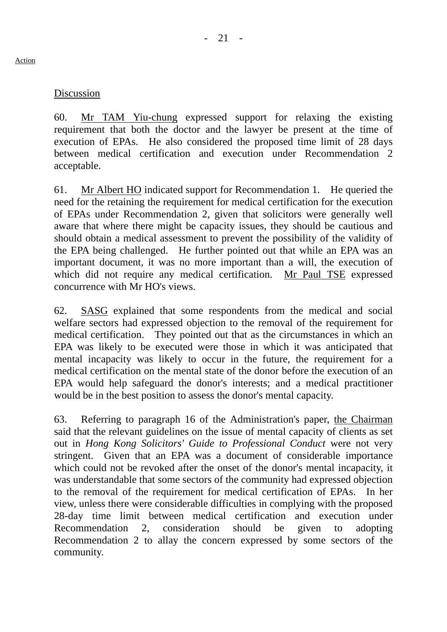### Discussion

60. Mr TAM Yiu-chung expressed support for relaxing the existing requirement that both the doctor and the lawyer be present at the time of execution of EPAs. He also considered the proposed time limit of 28 days between medical certification and execution under Recommendation 2 acceptable.

61. Mr Albert HO indicated support for Recommendation 1. He queried the need for the retaining the requirement for medical certification for the execution of EPAs under Recommendation 2, given that solicitors were generally well aware that where there might be capacity issues, they should be cautious and should obtain a medical assessment to prevent the possibility of the validity of the EPA being challenged. He further pointed out that while an EPA was an important document, it was no more important than a will, the execution of which did not require any medical certification. Mr Paul TSE expressed concurrence with Mr HO's views.

62. SASG explained that some respondents from the medical and social welfare sectors had expressed objection to the removal of the requirement for medical certification. They pointed out that as the circumstances in which an EPA was likely to be executed were those in which it was anticipated that mental incapacity was likely to occur in the future, the requirement for a medical certification on the mental state of the donor before the execution of an EPA would help safeguard the donor's interests; and a medical practitioner would be in the best position to assess the donor's mental capacity.

63. Referring to paragraph 16 of the Administration's paper, the Chairman said that the relevant guidelines on the issue of mental capacity of clients as set out in *Hong Kong Solicitors' Guide to Professional Conduct* were not very stringent. Given that an EPA was a document of considerable importance which could not be revoked after the onset of the donor's mental incapacity, it was understandable that some sectors of the community had expressed objection to the removal of the requirement for medical certification of EPAs. In her view, unless there were considerable difficulties in complying with the proposed 28-day time limit between medical certification and execution under Recommendation 2, consideration should be given to adopting Recommendation 2 to allay the concern expressed by some sectors of the community.